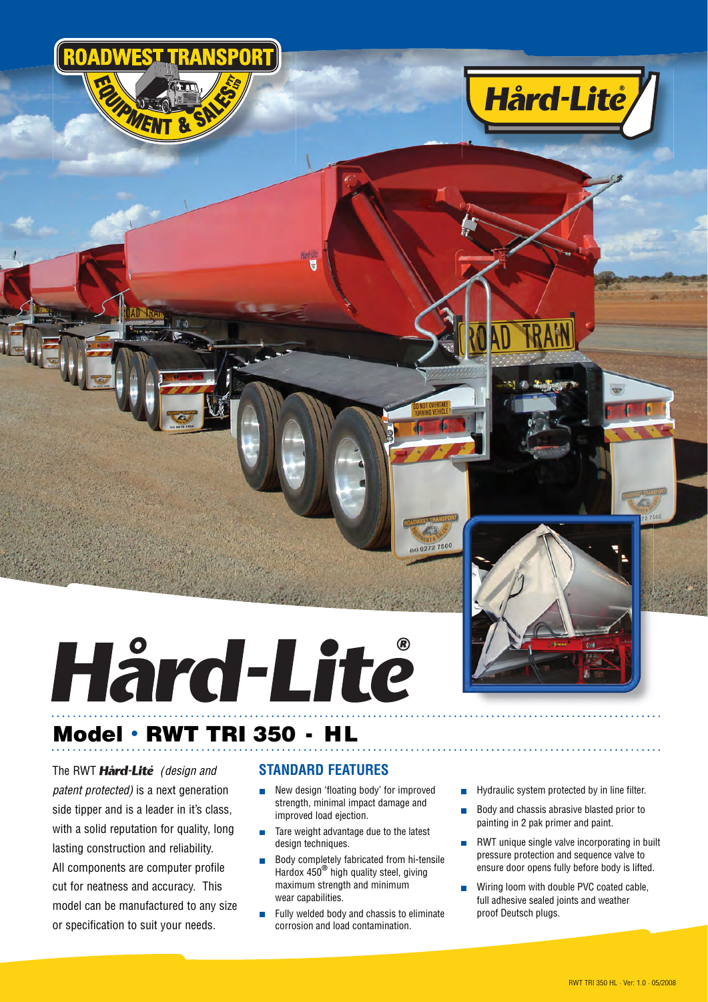

## **Model · RWT TRI 350 - HL**

The RWT **Hård-Lite** (design and *patent protected*) is a next generation side tipper and is a leader in it's class, with a solid reputation for quality, long lasting construction and reliability. All components are computer profile cut for neatness and accuracy. This model can be manufactured to any size or specification to suit your needs.

## **STANDARD FEATURES**

Ē

 $\blacksquare$  New design 'floating body' for improved strength, minimal impact damage and improved load ejection.

2 7500

- Tare weight advantage due to the latest design techniques.
- Body completely fabricated from hi-tensile Hardox 450**®** high quality steel, giving maximum strength and minimum wear capabilities.
- $\blacksquare$  Fully welded body and chassis to eliminate corrosion and load contamination.

 $\blacksquare$  Hydraulic system protected by in line filter.

**Hård-Lité** 

- Body and chassis abrasive blasted prior to painting in 2 pak primer and paint.
- **RWT** unique single valve incorporating in built pressure protection and sequence valve to ensure door opens fully before body is lifted.
- Wiring loom with double PVC coated cable, full adhesive sealed joints and weather proof Deutsch plugs.